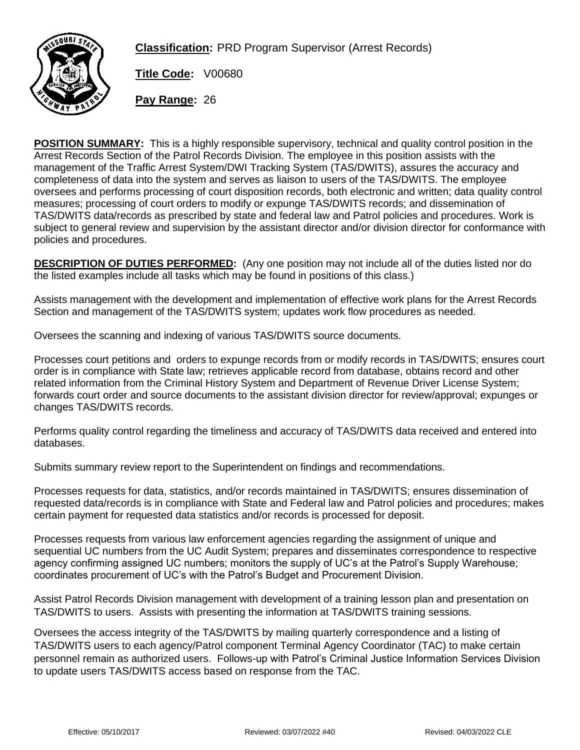

**Classification:** PRD Program Supervisor (Arrest Records)

**Title Code:** V00680

**Pay Range:** 26

**POSITION SUMMARY:** This is a highly responsible supervisory, technical and quality control position in the Arrest Records Section of the Patrol Records Division. The employee in this position assists with the management of the Traffic Arrest System/DWI Tracking System (TAS/DWITS), assures the accuracy and completeness of data into the system and serves as liaison to users of the TAS/DWITS. The employee oversees and performs processing of court disposition records, both electronic and written; data quality control measures; processing of court orders to modify or expunge TAS/DWITS records; and dissemination of TAS/DWITS data/records as prescribed by state and federal law and Patrol policies and procedures. Work is subject to general review and supervision by the assistant director and/or division director for conformance with policies and procedures.

**DESCRIPTION OF DUTIES PERFORMED:** (Any one position may not include all of the duties listed nor do the listed examples include all tasks which may be found in positions of this class.)

Assists management with the development and implementation of effective work plans for the Arrest Records Section and management of the TAS/DWITS system; updates work flow procedures as needed.

Oversees the scanning and indexing of various TAS/DWITS source documents.

Processes court petitions and orders to expunge records from or modify records in TAS/DWITS; ensures court order is in compliance with State law; retrieves applicable record from database, obtains record and other related information from the Criminal History System and Department of Revenue Driver License System; forwards court order and source documents to the assistant division director for review/approval; expunges or changes TAS/DWITS records.

Performs quality control regarding the timeliness and accuracy of TAS/DWITS data received and entered into databases.

Submits summary review report to the Superintendent on findings and recommendations.

Processes requests for data, statistics, and/or records maintained in TAS/DWITS; ensures dissemination of requested data/records is in compliance with State and Federal law and Patrol policies and procedures; makes certain payment for requested data statistics and/or records is processed for deposit.

Processes requests from various law enforcement agencies regarding the assignment of unique and sequential UC numbers from the UC Audit System; prepares and disseminates correspondence to respective agency confirming assigned UC numbers; monitors the supply of UC's at the Patrol's Supply Warehouse; coordinates procurement of UC's with the Patrol's Budget and Procurement Division.

Assist Patrol Records Division management with development of a training lesson plan and presentation on TAS/DWITS to users. Assists with presenting the information at TAS/DWITS training sessions.

Oversees the access integrity of the TAS/DWITS by mailing quarterly correspondence and a listing of TAS/DWITS users to each agency/Patrol component Terminal Agency Coordinator (TAC) to make certain personnel remain as authorized users. Follows-up with Patrol's Criminal Justice Information Services Division to update users TAS/DWITS access based on response from the TAC.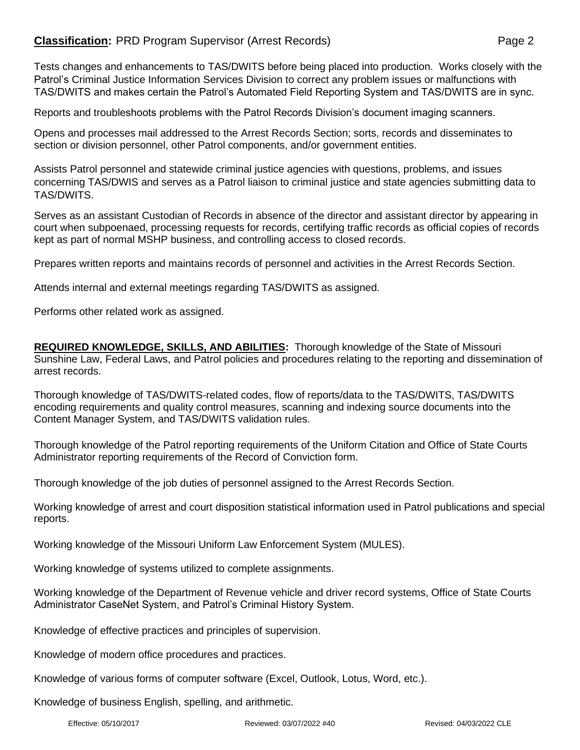## **Classification:** PRD Program Supervisor (Arrest Records) **Page 2** Page 2

Tests changes and enhancements to TAS/DWITS before being placed into production. Works closely with the Patrol's Criminal Justice Information Services Division to correct any problem issues or malfunctions with TAS/DWITS and makes certain the Patrol's Automated Field Reporting System and TAS/DWITS are in sync.

Reports and troubleshoots problems with the Patrol Records Division's document imaging scanners.

Opens and processes mail addressed to the Arrest Records Section; sorts, records and disseminates to section or division personnel, other Patrol components, and/or government entities.

Assists Patrol personnel and statewide criminal justice agencies with questions, problems, and issues concerning TAS/DWIS and serves as a Patrol liaison to criminal justice and state agencies submitting data to TAS/DWITS.

Serves as an assistant Custodian of Records in absence of the director and assistant director by appearing in court when subpoenaed, processing requests for records, certifying traffic records as official copies of records kept as part of normal MSHP business, and controlling access to closed records.

Prepares written reports and maintains records of personnel and activities in the Arrest Records Section.

Attends internal and external meetings regarding TAS/DWITS as assigned.

Performs other related work as assigned.

**REQUIRED KNOWLEDGE, SKILLS, AND ABILITIES:** Thorough knowledge of the State of Missouri Sunshine Law, Federal Laws, and Patrol policies and procedures relating to the reporting and dissemination of arrest records.

Thorough knowledge of TAS/DWITS-related codes, flow of reports/data to the TAS/DWITS, TAS/DWITS encoding requirements and quality control measures, scanning and indexing source documents into the Content Manager System, and TAS/DWITS validation rules.

Thorough knowledge of the Patrol reporting requirements of the Uniform Citation and Office of State Courts Administrator reporting requirements of the Record of Conviction form.

Thorough knowledge of the job duties of personnel assigned to the Arrest Records Section.

Working knowledge of arrest and court disposition statistical information used in Patrol publications and special reports.

Working knowledge of the Missouri Uniform Law Enforcement System (MULES).

Working knowledge of systems utilized to complete assignments.

Working knowledge of the Department of Revenue vehicle and driver record systems, Office of State Courts Administrator CaseNet System, and Patrol's Criminal History System.

Knowledge of effective practices and principles of supervision.

Knowledge of modern office procedures and practices.

Knowledge of various forms of computer software (Excel, Outlook, Lotus, Word, etc.).

Knowledge of business English, spelling, and arithmetic.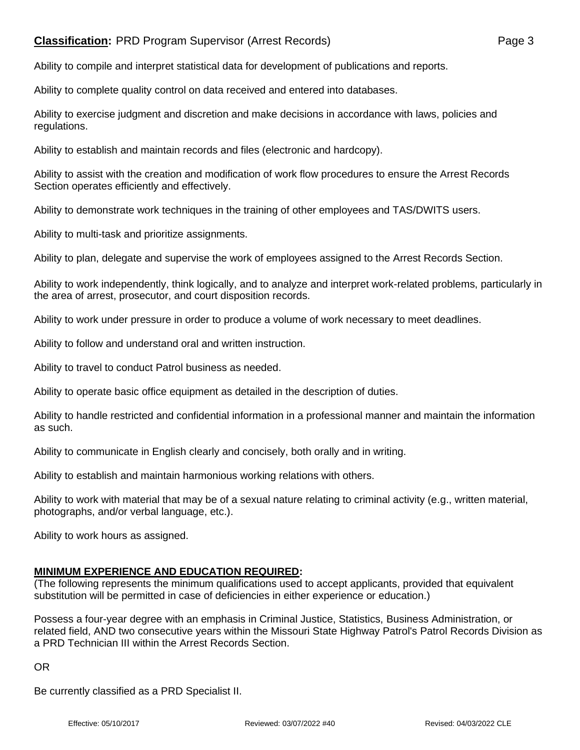## **Classification:** PRD Program Supervisor (Arrest Records) **Page 3** Page 3

Ability to compile and interpret statistical data for development of publications and reports.

Ability to complete quality control on data received and entered into databases.

Ability to exercise judgment and discretion and make decisions in accordance with laws, policies and regulations.

Ability to establish and maintain records and files (electronic and hardcopy).

Ability to assist with the creation and modification of work flow procedures to ensure the Arrest Records Section operates efficiently and effectively.

Ability to demonstrate work techniques in the training of other employees and TAS/DWITS users.

Ability to multi-task and prioritize assignments.

Ability to plan, delegate and supervise the work of employees assigned to the Arrest Records Section.

Ability to work independently, think logically, and to analyze and interpret work-related problems, particularly in the area of arrest, prosecutor, and court disposition records.

Ability to work under pressure in order to produce a volume of work necessary to meet deadlines.

Ability to follow and understand oral and written instruction.

Ability to travel to conduct Patrol business as needed.

Ability to operate basic office equipment as detailed in the description of duties.

Ability to handle restricted and confidential information in a professional manner and maintain the information as such.

Ability to communicate in English clearly and concisely, both orally and in writing.

Ability to establish and maintain harmonious working relations with others.

Ability to work with material that may be of a sexual nature relating to criminal activity (e.g., written material, photographs, and/or verbal language, etc.).

Ability to work hours as assigned.

## **MINIMUM EXPERIENCE AND EDUCATION REQUIRED:**

(The following represents the minimum qualifications used to accept applicants, provided that equivalent substitution will be permitted in case of deficiencies in either experience or education.)

Possess a four-year degree with an emphasis in Criminal Justice, Statistics, Business Administration, or related field, AND two consecutive years within the Missouri State Highway Patrol's Patrol Records Division as a PRD Technician III within the Arrest Records Section.

OR

Be currently classified as a PRD Specialist II.